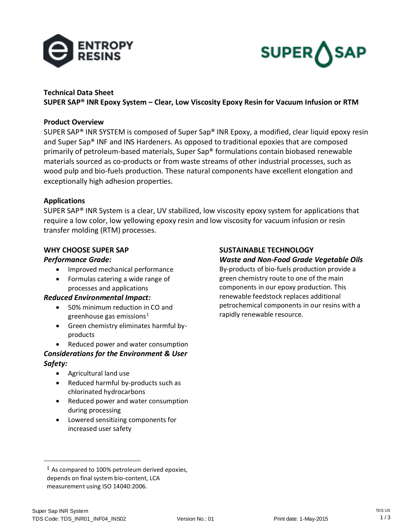



# **Technical Data Sheet**

**SUPER SAP® INR Epoxy System – Clear, Low Viscosity Epoxy Resin for Vacuum Infusion or RTM**

### **Product Overview**

SUPER SAP® INR SYSTEM is composed of Super Sap® INR Epoxy, a modified, clear liquid epoxy resin and Super Sap® INF and INS Hardeners. As opposed to traditional epoxies that are composed primarily of petroleum-based materials, Super Sap® formulations contain biobased renewable materials sourced as co-products or from waste streams of other industrial processes, such as wood pulp and bio-fuels production. These natural components have excellent elongation and exceptionally high adhesion properties.

### **Applications**

SUPER SAP® INR System is a clear, UV stabilized, low viscosity epoxy system for applications that require a low color, low yellowing epoxy resin and low viscosity for vacuum infusion or resin transfer molding (RTM) processes.

### **WHY CHOOSE SUPER SAP**

### *Performance Grade:*

- Improved mechanical performance
- Formulas catering a wide range of processes and applications

### *Reduced Environmental Impact:*

- 50% minimum reduction in CO and greenhouse gas emissions<sup>1</sup>
- Green chemistry eliminates harmful byproducts
- Reduced power and water consumption

## *Considerations for the Environment & User Safety:*

- Agricultural land use
- Reduced harmful by-products such as chlorinated hydrocarbons
- Reduced power and water consumption during processing
- Lowered sensitizing components for increased user safety

#### **SUSTAINABLE TECHNOLOGY** *Waste and Non-Food Grade Vegetable Oils*

By-products of bio-fuels production provide a green chemistry route to one of the main components in our epoxy production. This renewable feedstock replaces additional petrochemical components in our resins with a rapidly renewable resource.

l

 $<sup>1</sup>$  As compared to 100% petroleum derived epoxies,</sup> depends on final system bio-content, LCA measurement using ISO 14040:2006.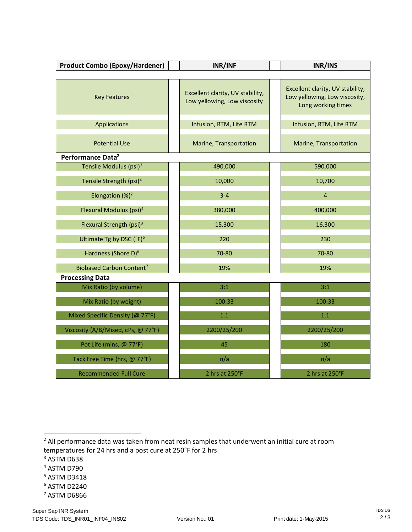| <b>Product Combo (Epoxy/Hardener)</b> | INR/INF                                                          | INR/INS                                                                                 |  |  |  |  |
|---------------------------------------|------------------------------------------------------------------|-----------------------------------------------------------------------------------------|--|--|--|--|
|                                       |                                                                  |                                                                                         |  |  |  |  |
| <b>Key Features</b>                   | Excellent clarity, UV stability,<br>Low yellowing, Low viscosity | Excellent clarity, UV stability,<br>Low yellowing, Low viscosity,<br>Long working times |  |  |  |  |
| <b>Applications</b>                   | Infusion, RTM, Lite RTM                                          | Infusion, RTM, Lite RTM                                                                 |  |  |  |  |
| <b>Potential Use</b>                  | Marine, Transportation                                           | Marine, Transportation                                                                  |  |  |  |  |
| Performance Data <sup>2</sup>         |                                                                  |                                                                                         |  |  |  |  |
| Tensile Modulus (psi) <sup>3</sup>    | 490,000                                                          | 590,000                                                                                 |  |  |  |  |
| Tensile Strength (psi) <sup>2</sup>   | 10,000                                                           | 10,700                                                                                  |  |  |  |  |
| Elongation $(%)^2$                    | $3 - 4$                                                          | $\overline{4}$                                                                          |  |  |  |  |
| Flexural Modulus (psi) <sup>4</sup>   | 380,000                                                          | 400,000                                                                                 |  |  |  |  |
| Flexural Strength (psi) $3$           | 15,300                                                           | 16,300                                                                                  |  |  |  |  |
| Ultimate Tg by DSC (°F) <sup>5</sup>  | 220                                                              | 230                                                                                     |  |  |  |  |
| Hardness (Shore D) <sup>6</sup>       | 70-80                                                            | 70-80                                                                                   |  |  |  |  |
| Biobased Carbon Content <sup>7</sup>  | 19%                                                              | 19%                                                                                     |  |  |  |  |
| <b>Processing Data</b>                |                                                                  |                                                                                         |  |  |  |  |
| Mix Ratio (by volume)                 | 3:1                                                              | 3:1                                                                                     |  |  |  |  |
| Mix Ratio (by weight)                 | 100:33                                                           | 100:33                                                                                  |  |  |  |  |
| Mixed Specific Density (@ 77°F)       | 1.1                                                              | 1.1                                                                                     |  |  |  |  |
| Viscosity (A/B/Mixed, cPs, @ 77°F)    | 2200/25/200                                                      | 2200/25/200                                                                             |  |  |  |  |
| Pot Life (mins, @ 77°F)               | 45                                                               | 180                                                                                     |  |  |  |  |
| Tack Free Time (hrs, @ 77°F)          | n/a                                                              | n/a                                                                                     |  |  |  |  |
| <b>Recommended Full Cure</b>          | 2 hrs at 250°F<br>2 hrs at 250°F                                 |                                                                                         |  |  |  |  |

<sup>2</sup> All performance data was taken from neat resin samples that underwent an initial cure at room temperatures for 24 hrs and a post cure at 250°F for 2 hrs

<sup>3</sup> ASTM D638

 $\overline{a}$ 

- <sup>4</sup> ASTM D790
- <sup>5</sup> ASTM D3418
- <sup>6</sup> ASTM D2240
- <sup>7</sup> ASTM D6866